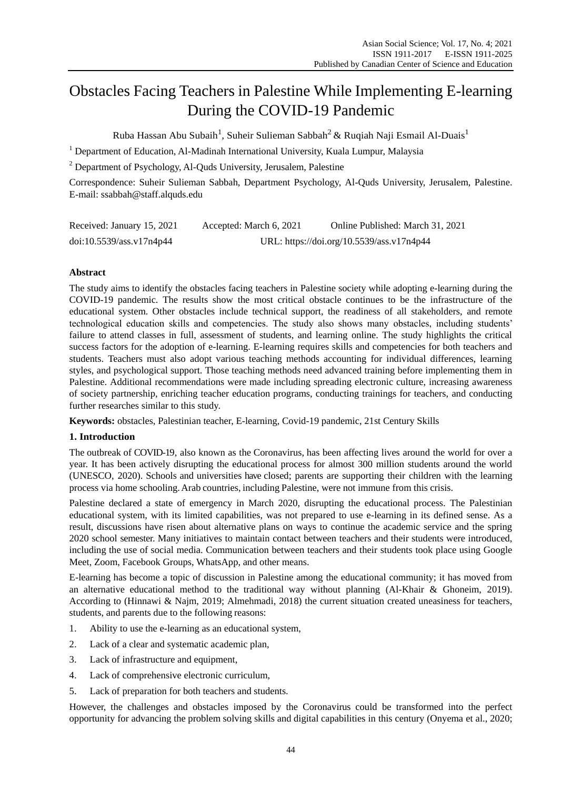# Obstacles Facing Teachers in Palestine While Implementing E-learning During the COVID-19 Pandemic

Ruba Hassan Abu Subaih<sup>1</sup>, Suheir Sulieman Sabbah $^2$  & Ruqiah Naji Esmail Al-Duais $^1$ 

<sup>1</sup> Department of Education, Al-Madinah International University, Kuala Lumpur, Malaysia

<sup>2</sup> Department of Psychology, Al-Quds University, Jerusalem, Palestine

Correspondence: Suheir Sulieman Sabbah, Department Psychology, Al-Quds University, Jerusalem, Palestine. E-mail: [ssabbah@staff.alquds.edu](mailto:ssabbah@staff.alquds.edu)

| Received: January 15, 2021 | Accepted: March 6, 2021                   | Online Published: March 31, 2021 |
|----------------------------|-------------------------------------------|----------------------------------|
| doi:10.5539/ass.v17n4p44   | URL: https://doi.org/10.5539/ass.v17n4p44 |                                  |

# **Abstract**

The study aims to identify the obstacles facing teachers in Palestine society while adopting e-learning during the COVID-19 pandemic. The results show the most critical obstacle continues to be the infrastructure of the educational system. Other obstacles include technical support, the readiness of all stakeholders, and remote technological education skills and competencies. The study also shows many obstacles, including students" failure to attend classes in full, assessment of students, and learning online. The study highlights the critical success factors for the adoption of e-learning. E-learning requires skills and competencies for both teachers and students. Teachers must also adopt various teaching methods accounting for individual differences, learning styles, and psychological support. Those teaching methods need advanced training before implementing them in Palestine. Additional recommendations were made including spreading electronic culture, increasing awareness of society partnership, enriching teacher education programs, conducting trainings for teachers, and conducting further researches similar to this study.

**Keywords:** obstacles, Palestinian teacher, E-learning, Covid-19 pandemic, 21st Century Skills

# **1. Introduction**

The outbreak of COVID-19, also known as the Coronavirus, has been affecting lives around the world for over a year. It has been actively disrupting the educational process for almost 300 million students around the world (UNESCO, 2020). Schools and universities have closed; parents are supporting their children with the learning process via home schooling.Arab countries, including Palestine, were not immune from this crisis.

Palestine declared a state of emergency in March 2020, disrupting the educational process. The Palestinian educational system, with its limited capabilities, was not prepared to use e-learning in its defined sense. As a result, discussions have risen about alternative plans on ways to continue the academic service and the spring 2020 school semester. Many initiatives to maintain contact between teachers and their students were introduced, including the use of social media. Communication between teachers and their students took place using Google Meet, Zoom, Facebook Groups, WhatsApp, and other means.

E-learning has become a topic of discussion in Palestine among the educational community; it has moved from an alternative educational method to the traditional way without planning (Al-Khair & Ghoneim, 2019). According to (Hinnawi & Najm, 2019; Almehmadi, 2018) the current situation created uneasiness for teachers, students, and parents due to the following reasons:

- 1. Ability to use the e-learning as an educational system,
- 2. Lack of a clear and systematic academic plan,
- 3. Lack of infrastructure and equipment,
- 4. Lack of comprehensive electronic curriculum,
- 5. Lack of preparation for both teachers and students.

However, the challenges and obstacles imposed by the Coronavirus could be transformed into the perfect opportunity for advancing the problem solving skills and digital capabilities in this century (Onyema et al., 2020;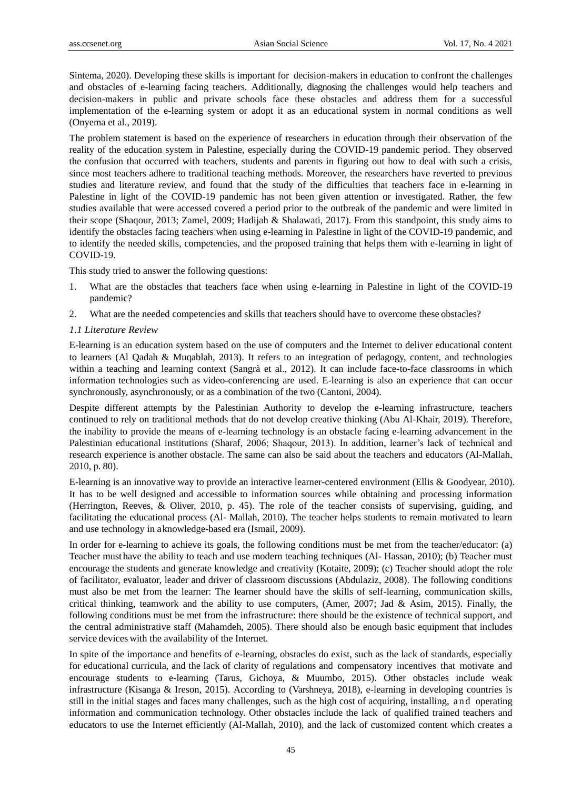Sintema, 2020). Developing these skills is important for decision-makers in education to confront the challenges and obstacles of e-learning facing teachers. Additionally, diagnosing the challenges would help teachers and decision-makers in public and private schools face these obstacles and address them for a successful implementation of the e-learning system or adopt it as an educational system in normal conditions as well (Onyema et al., 2019).

The problem statement is based on the experience of researchers in education through their observation of the reality of the education system in Palestine, especially during the COVID-19 pandemic period. They observed the confusion that occurred with teachers, students and parents in figuring out how to deal with such a crisis, since most teachers adhere to traditional teaching methods. Moreover, the researchers have reverted to previous studies and literature review, and found that the study of the difficulties that teachers face in e-learning in Palestine in light of the COVID-19 pandemic has not been given attention or investigated. Rather, the few studies available that were accessed covered a period prior to the outbreak of the pandemic and were limited in their scope (Shaqour, 2013; Zamel, 2009; Hadijah & Shalawati, 2017). From this standpoint, this study aims to identify the obstacles facing teachers when using e-learning in Palestine in light of the COVID-19 pandemic, and to identify the needed skills, competencies, and the proposed training that helps them with e-learning in light of COVID-19.

This study tried to answer the following questions:

- What are the obstacles that teachers face when using e-learning in Palestine in light of the COVID-19 pandemic?
- 2. What are the needed competencies and skills that teachers should have to overcome these obstacles?

#### *1.1 Literature Review*

E-learning is an education system based on the use of computers and the Internet to deliver educational content to learners (Al Qadah & Muqablah, 2013). It refers to an integration of pedagogy, content, and technologies within a teaching and learning context (Sangrà et al., 2012). It can include face-to-face classrooms in which information technologies such as video-conferencing are used. E-learning is also an experience that can occur synchronously, asynchronously, or as a combination of the two (Cantoni, 2004).

Despite different attempts by the Palestinian Authority to develop the e-learning infrastructure, teachers continued to rely on traditional methods that do not develop creative thinking (Abu Al-Khair, 2019). Therefore, the inability to provide the means of e-learning technology is an obstacle facing e-learning advancement in the Palestinian educational institutions (Sharaf, 2006; Shaqour, 2013). In addition, learner's lack of technical and research experience is another obstacle. The same can also be said about the teachers and educators (Al-Mallah, 2010, p. 80).

E-learning is an innovative way to provide an interactive learner-centered environment (Ellis & Goodyear, 2010). It has to be well designed and accessible to information sources while obtaining and processing information (Herrington, Reeves, & Oliver, 2010, p. 45). The role of the teacher consists of supervising, guiding, and facilitating the educational process (Al- Mallah, 2010). The teacher helps students to remain motivated to learn and use technology in aknowledge-based era (Ismail, 2009).

In order for e-learning to achieve its goals, the following conditions must be met from the teacher/educator: (a) Teacher must have the ability to teach and use modern teaching techniques (Al- Hassan, 2010); (b) Teacher must encourage the students and generate knowledge and creativity (Kotaite, 2009); (c) Teacher should adopt the role of facilitator, evaluator, leader and driver of classroom discussions (Abdulaziz, 2008). The following conditions must also be met from the learner: The learner should have the skills of self-learning, communication skills, critical thinking, teamwork and the ability to use computers, (Amer, 2007; Jad & Asim, 2015). Finally, the following conditions must be met from the infrastructure: there should be the existence of technical support, and the central administrative staff (Mahamdeh, 2005). There should also be enough basic equipment that includes service devices with the availability of the Internet.

In spite of the importance and benefits of e-learning, obstacles do exist, such as the lack of standards, especially for educational curricula, and the lack of clarity of regulations and compensatory incentives that motivate and encourage students to e-learning (Tarus, Gichoya, & Muumbo, 2015). Other obstacles include weak infrastructure (Kisanga & [Ireson, 2015\).](https://journals.sagepub.com/doi/full/10.1177/1745499918763421) According to (Varshneya, 2018), e-learning in developing countries is still in the initial stages and faces many challenges, such as the high cost of acquiring, installing, and operating information and communication technology. Other obstacles include the lack of qualified trained teachers and educators to use the Internet efficiently (Al-Mallah, 2010), and the lack of customized content which creates a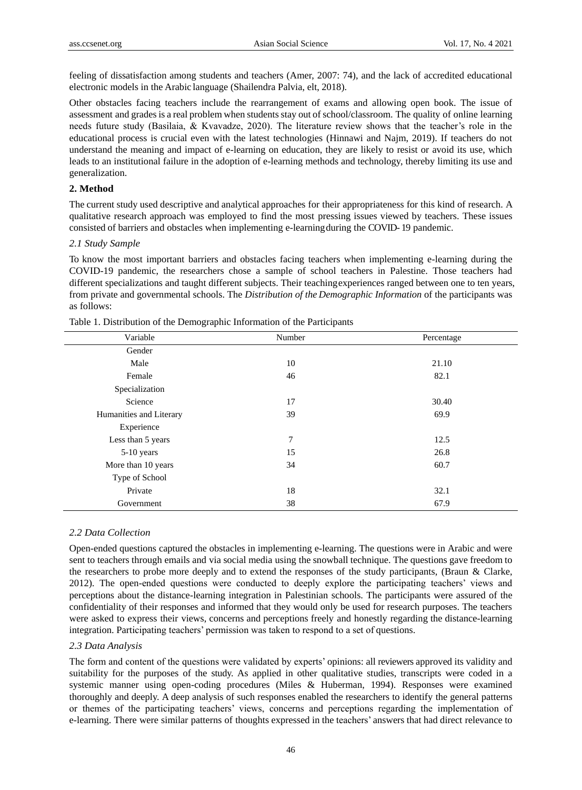feeling of dissatisfaction among students and teachers (Amer, 2007: 74), and the lack of accredited educational electronic models in the Arabic language (Shailendra Palvia, elt, 2018).

Other obstacles facing teachers include the rearrangement of exams and allowing open book. The issue of assessment and grades is a real problem when students stay out of school/classroom. The quality of online learning needs future study (Basilaia, & Kvavadze, 2020). The literature review shows that the teacher's role in the educational process is crucial even with the latest technologies (Hinnawi and Najm, 2019). If teachers do not understand the meaning and impact of e-learning on education, they are likely to resist or avoid its use, which leads to an institutional failure in the adoption of e-learning methods and technology, thereby limiting its use and generalization.

# **2. Method**

The current study used descriptive and analytical approaches for their appropriateness for this kind of research. A qualitative research approach was employed to find the most pressing issues viewed by teachers. These issues consisted of barriers and obstacles when implementing e-learningduring the COVID- 19 pandemic.

#### *2.1 Study Sample*

To know the most important barriers and obstacles facing teachers when implementing e-learning during the COVID-19 pandemic, the researchers chose a sample of school teachers in Palestine. Those teachers had different specializations and taught different subjects. Their teachingexperiences ranged between one to ten years, from private and governmental schools. The *Distribution of the Demographic Information* of the participants was as follows:

| Number | Percentage |
|--------|------------|
|        |            |
| 10     | 21.10      |
| 46     | 82.1       |
|        |            |
| 17     | 30.40      |
| 39     | 69.9       |
|        |            |
| 7      | 12.5       |
| 15     | 26.8       |
| 34     | 60.7       |
|        |            |
| 18     | 32.1       |
| 38     | 67.9       |
|        |            |

Table 1. Distribution of the Demographic Information of the Participants

#### *2.2 Data Collection*

Open-ended questions captured the obstacles in implementing e-learning. The questions were in Arabic and were sent to teachers through emails and via social media using the snowball technique. The questions gave freedom to the researchers to probe more deeply and to extend the responses of the study participants, (Braun & Clarke, 2012). The open-ended questions were conducted to deeply explore the participating teachers" views and perceptions about the distance-learning integration in Palestinian schools. The participants were assured of the confidentiality of their responses and informed that they would only be used for research purposes. The teachers were asked to express their views, concerns and perceptions freely and honestly regarding the distance-learning integration. Participating teachers" permission was taken to respond to a set of questions.

#### *2.3 Data Analysis*

The form and content of the questions were validated by experts" opinions: all reviewers approved its validity and suitability for the purposes of the study. As applied in other qualitative studies, transcripts were coded in a systemic manner using open-coding procedures (Miles & Huberman, 1994). Responses were examined thoroughly and deeply. A deep analysis of such responses enabled the researchers to identify the general patterns or themes of the participating teachers" views, concerns and perceptions regarding the implementation of e-learning. There were similar patterns of thoughts expressed in the teachers" answers that had direct relevance to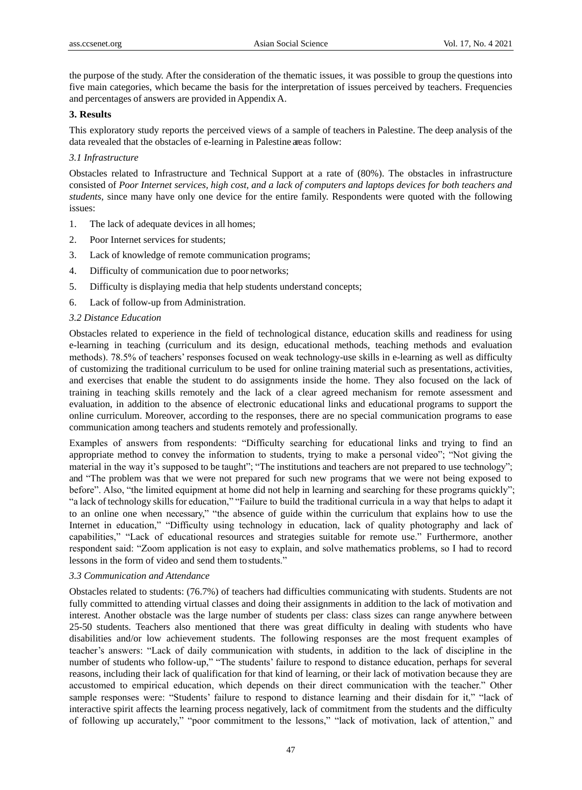the purpose of the study. After the consideration of the thematic issues, it was possible to group the questions into five main categories, which became the basis for the interpretation of issues perceived by teachers. Frequencies and percentages of answers are provided in Appendix A.

# **3. Results**

This exploratory study reports the perceived views of a sample of teachers in Palestine. The deep analysis of the data revealed that the obstacles of e-learning in Palestine areas follow:

# *3.1 Infrastructure*

Obstacles related to Infrastructure and Technical Support at a rate of (80%). The obstacles in infrastructure consisted of *Poor Internet services, high cost, and a lack of computers and laptops devices for both teachers and students*, since many have only one device for the entire family. Respondents were quoted with the following issues:

- 1. The lack of adequate devices in all homes;
- 2. Poor Internet services for students;
- 3. Lack of knowledge of remote communication programs;
- 4. Difficulty of communication due to poor networks;
- 5. Difficulty is displaying media that help students understand concepts;
- 6. Lack of follow-up from Administration.

#### *3.2 Distance Education*

Obstacles related to experience in the field of technological distance, education skills and readiness for using e-learning in teaching (curriculum and its design, educational methods, teaching methods and evaluation methods). 78.5% of teachers" responses focused on weak technology-use skills in e-learning as well as difficulty of customizing the traditional curriculum to be used for online training material such as presentations, activities, and exercises that enable the student to do assignments inside the home. They also focused on the lack of training in teaching skills remotely and the lack of a clear agreed mechanism for remote assessment and evaluation, in addition to the absence of electronic educational links and educational programs to support the online curriculum. Moreover, according to the responses, there are no special communication programs to ease communication among teachers and students remotely and professionally.

Examples of answers from respondents: "Difficulty searching for educational links and trying to find an appropriate method to convey the information to students, trying to make a personal video"; "Not giving the material in the way it's supposed to be taught"; "The institutions and teachers are not prepared to use technology"; and "The problem was that we were not prepared for such new programs that we were not being exposed to before". Also, "the limited equipment at home did not help in learning and searching for these programs quickly"; "a lack of technology skillsfor education," "Failure to build the traditional curricula in a way that helps to adapt it to an online one when necessary," "the absence of guide within the curriculum that explains how to use the Internet in education," "Difficulty using technology in education, lack of quality photography and lack of capabilities," "Lack of educational resources and strategies suitable for remote use." Furthermore, another respondent said: "Zoom application is not easy to explain, and solve mathematics problems, so I had to record lessons in the form of video and send them to students."

# *3.3 Communication and Attendance*

Obstacles related to students: (76.7%) of teachers had difficulties communicating with students. Students are not fully committed to attending virtual classes and doing their assignments in addition to the lack of motivation and interest. Another obstacle was the large number of students per class: class sizes can range anywhere between 25-50 students. Teachers also mentioned that there was great difficulty in dealing with students who have disabilities and/or low achievement students. The following responses are the most frequent examples of teacher"s answers: "Lack of daily communication with students, in addition to the lack of discipline in the number of students who follow-up," "The students" failure to respond to distance education, perhaps for several reasons, including their lack of qualification for that kind of learning, or their lack of motivation because they are accustomed to empirical education, which depends on their direct communication with the teacher." Other sample responses were: "Students' failure to respond to distance learning and their disdain for it," "lack of interactive spirit affects the learning process negatively, lack of commitment from the students and the difficulty of following up accurately," "poor commitment to the lessons," "lack of motivation, lack of attention," and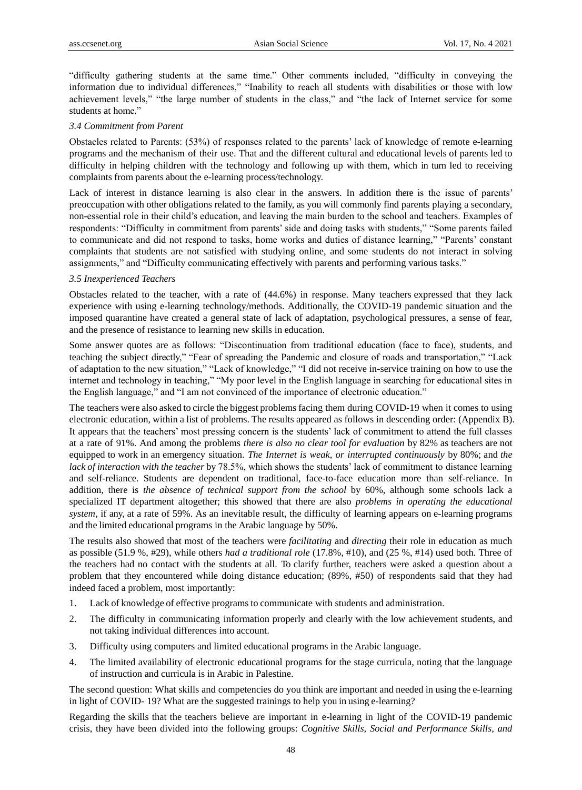"difficulty gathering students at the same time." Other comments included, "difficulty in conveying the information due to individual differences," "Inability to reach all students with disabilities or those with low achievement levels," "the large number of students in the class," and "the lack of Internet service for some students at home."

#### *3.4 Commitment from Parent*

Obstacles related to Parents: (53%) of responses related to the parents" lack of knowledge of remote e-learning programs and the mechanism of their use. That and the different cultural and educational levels of parents led to difficulty in helping children with the technology and following up with them, which in turn led to receiving complaints from parents about the e-learning process/technology.

Lack of interest in distance learning is also clear in the answers. In addition there is the issue of parents' preoccupation with other obligations related to the family, as you will commonly find parents playing a secondary, non-essential role in their child"s education, and leaving the main burden to the school and teachers. Examples of respondents: "Difficulty in commitment from parents" side and doing tasks with students," "Some parents failed to communicate and did not respond to tasks, home works and duties of distance learning," "Parents" constant complaints that students are not satisfied with studying online, and some students do not interact in solving assignments," and "Difficulty communicating effectively with parents and performing various tasks."

# *3.5 Inexperienced Teachers*

Obstacles related to the teacher, with a rate of (44.6%) in response. Many teachers expressed that they lack experience with using e-learning technology/methods. Additionally, the COVID-19 pandemic situation and the imposed quarantine have created a general state of lack of adaptation, psychological pressures, a sense of fear, and the presence of resistance to learning new skills in education.

Some answer quotes are as follows: "Discontinuation from traditional education (face to face), students, and teaching the subject directly," "Fear of spreading the Pandemic and closure of roads and transportation," "Lack of adaptation to the new situation," "Lack of knowledge," "I did not receive in-service training on how to use the internet and technology in teaching," "My poor level in the English language in searching for educational sites in the English language," and "I am not convinced of the importance of electronic education."

The teachers were also asked to circle the biggest problems facing them during COVID-19 when it comes to using electronic education, within a list of problems. The results appeared as follows in descending order: (Appendix B). It appears that the teachers" most pressing concern is the students" lack of commitment to attend the full classes at a rate of 91%. And among the problems *there is also no clear tool for evaluation* by 82% as teachers are not equipped to work in an emergency situation. *The Internet is weak, or interrupted continuously* by 80%; and *the lack of interaction with the teacher* by 78.5%, which shows the students" lack of commitment to distance learning and self-reliance. Students are dependent on traditional, face-to-face education more than self-reliance. In addition, there is *the absence of technical support from the school* by 60%, although some schools lack a specialized IT department altogether; this showed that there are also *problems in operating the educational system*, if any, at a rate of 59%. As an inevitable result, the difficulty of learning appears on e-learning programs and the limited educational programs in the Arabic language by 50%.

The results also showed that most of the teachers were *facilitating* and *directing* their role in education as much as possible (51.9 %, #29), while others *had a traditional role* (17.8%, #10), and (25 %, #14) used both. Three of the teachers had no contact with the students at all. To clarify further, teachers were asked a question about a problem that they encountered while doing distance education; (89%, #50) of respondents said that they had indeed faced a problem, most importantly:

- 1. Lack of knowledge of effective programs to communicate with students and administration.
- 2. The difficulty in communicating information properly and clearly with the low achievement students, and not taking individual differences into account.
- 3. Difficulty using computers and limited educational programs in the Arabic language.
- 4. The limited availability of electronic educational programs for the stage curricula, noting that the language of instruction and curricula is in Arabic in Palestine.

The second question: What skills and competencies do you think are important and needed in using the e-learning in light of COVID- 19? What are the suggested trainings to help you in using e-learning?

Regarding the skills that the teachers believe are important in e-learning in light of the COVID-19 pandemic crisis, they have been divided into the following groups: *Cognitive Skills, Social and Performance Skills, and*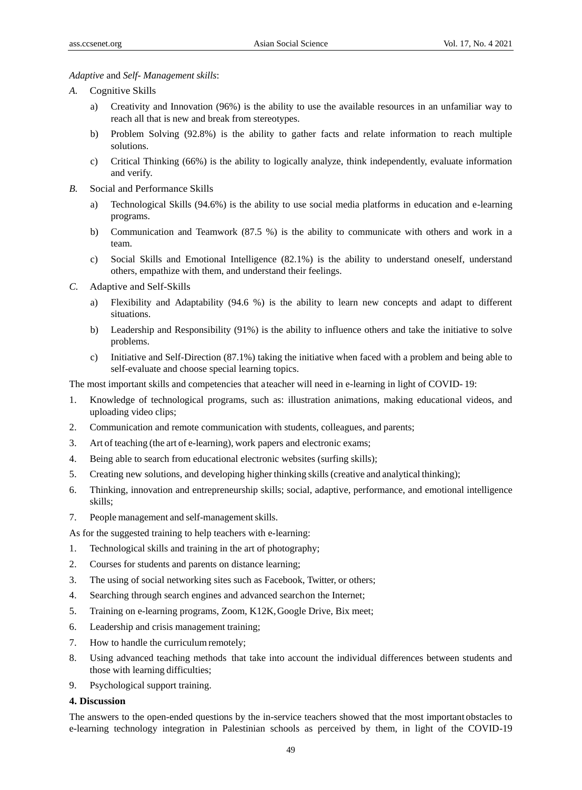#### *Adaptive* and *Self- Management skills*:

- *A.* Cognitive Skills
	- a) Creativity and Innovation (96%) is the ability to use the available resources in an unfamiliar way to reach all that is new and break from stereotypes.
	- b) Problem Solving (92.8%) is the ability to gather facts and relate information to reach multiple solutions.
	- c) Critical Thinking (66%) is the ability to logically analyze, think independently, evaluate information and verify.
- *B.* Social and Performance Skills
	- a) Technological Skills (94.6%) is the ability to use social media platforms in education and e-learning programs.
	- b) Communication and Teamwork (87.5 %) is the ability to communicate with others and work in a team.
	- c) Social Skills and Emotional Intelligence (82.1%) is the ability to understand oneself, understand others, empathize with them, and understand their feelings.
- *C.* Adaptive and Self-Skills
	- a) Flexibility and Adaptability (94.6 %) is the ability to learn new concepts and adapt to different situations.
	- b) Leadership and Responsibility (91%) is the ability to influence others and take the initiative to solve problems.
	- c) Initiative and Self-Direction (87.1%) taking the initiative when faced with a problem and being able to self-evaluate and choose special learning topics.

The most important skills and competencies that ateacher will need in e-learning in light of COVID- 19:

- 1. Knowledge of technological programs, such as: illustration animations, making educational videos, and uploading video clips;
- 2. Communication and remote communication with students, colleagues, and parents;
- 3. Art of teaching (the art of e-learning), work papers and electronic exams;
- 4. Being able to search from educational electronic websites (surfing skills);
- 5. Creating new solutions, and developing higher thinking skills(creative and analytical thinking);
- 6. Thinking, innovation and entrepreneurship skills; social, adaptive, performance, and emotional intelligence skills;
- 7. People management and self-management skills.

As for the suggested training to help teachers with e-learning:

- 1. Technological skills and training in the art of photography;
- 2. Courses for students and parents on distance learning;
- 3. The using of social networking sites such as Facebook, Twitter, or others;
- 4. Searching through search engines and advanced searchon the Internet;
- 5. Training on e-learning programs, Zoom, K12K,Google Drive, Bix meet;
- 6. Leadership and crisis management training;
- 7. How to handle the curriculum remotely;
- 8. Using advanced teaching methods that take into account the individual differences between students and those with learning difficulties;
- 9. Psychological support training.

# **4. Discussion**

The answers to the open-ended questions by the in-service teachers showed that the most important obstacles to e-learning technology integration in Palestinian schools as perceived by them, in light of the COVID-19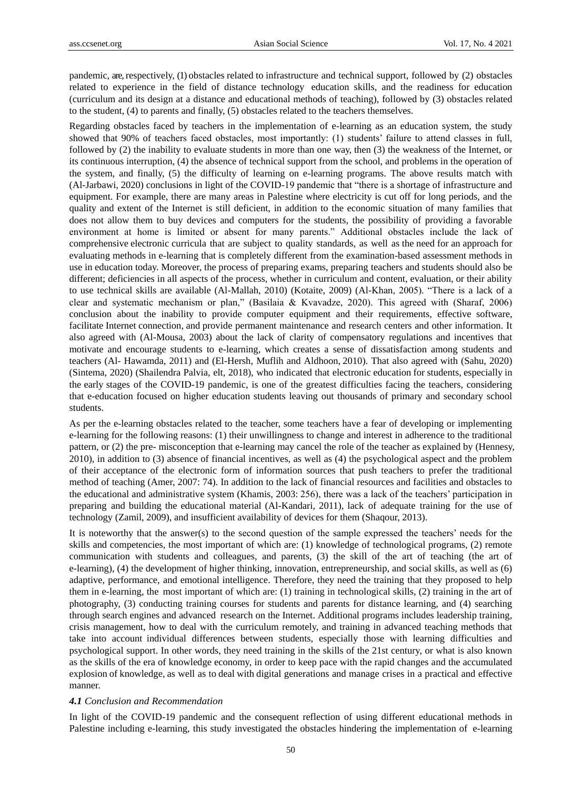pandemic, are, respectively, (1) obstacles related to infrastructure and technical support, followed by (2) obstacles related to experience in the field of distance technology education skills, and the readiness for education (curriculum and its design at a distance and educational methods of teaching), followed by (3) obstacles related to the student, (4) to parents and finally, (5) obstacles related to the teachers themselves.

Regarding obstacles faced by teachers in the implementation of e-learning as an education system, the study showed that 90% of teachers faced obstacles, most importantly: (1) students" failure to attend classes in full, followed by (2) the inability to evaluate students in more than one way, then (3) the weakness of the Internet, or its continuous interruption, (4) the absence of technical support from the school, and problems in the operation of the system, and finally, (5) the difficulty of learning on e-learning programs. The above results match with (Al-Jarbawi, 2020) conclusions in light of the COVID-19 pandemic that "there is a shortage of infrastructure and equipment. For example, there are many areas in Palestine where electricity is cut off for long periods, and the quality and extent of the Internet is still deficient, in addition to the economic situation of many families that does not allow them to buy devices and computers for the students, the possibility of providing a favorable environment at home is limited or absent for many parents." Additional obstacles include the lack of comprehensive electronic curricula that are subject to quality standards, as well as the need for an approach for evaluating methods in e-learning that is completely different from the examination-based assessment methods in use in education today. Moreover, the process of preparing exams, preparing teachers and students should also be different; deficiencies in all aspects of the process, whether in curriculum and content, evaluation, or their ability to use technical skills are available (Al-Mallah, 2010) (Kotaite, 2009) (Al-Khan, 2005). "There is a lack of a clear and systematic mechanism or plan," (Basilaia & Kvavadze, 2020). This agreed with (Sharaf, 2006) conclusion about the inability to provide computer equipment and their requirements, effective software, facilitate Internet connection, and provide permanent maintenance and research centers and other information. It also agreed with (Al-Mousa, 2003) about the lack of clarity of compensatory regulations and incentives that motivate and encourage students to e-learning, which creates a sense of dissatisfaction among students and teachers (Al- Hawamda, 2011) and (El-Hersh, Muflih and Aldhoon, 2010). That also agreed with (Sahu, 2020) (Sintema, 2020) (Shailendra Palvia, elt, 2018), who indicated that electronic education for students, especially in the early stages of the COVID-19 pandemic, is one of the greatest difficulties facing the teachers, considering that e-education focused on higher education students leaving out thousands of primary and secondary school students.

As per the e-learning obstacles related to the teacher, some teachers have a fear of developing or implementing e-learning for the following reasons: (1) their unwillingness to change and interest in adherence to the traditional pattern, or (2) the pre- misconception that e-learning may cancel the role of the teacher as explained by (Hennesy, 2010), in addition to (3) absence of financial incentives, as well as (4) the psychological aspect and the problem of their acceptance of the electronic form of information sources that push teachers to prefer the traditional method of teaching (Amer, 2007: 74). In addition to the lack of financial resources and facilities and obstacles to the educational and administrative system (Khamis, 2003: 256), there was a lack of the teachers' participation in preparing and building the educational material (Al-Kandari, 2011), lack of adequate training for the use of technology (Zamil, 2009), and insufficient availability of devices for them (Shaqour, 2013).

It is noteworthy that the answer(s) to the second question of the sample expressed the teachers" needs for the skills and competencies, the most important of which are: (1) knowledge of technological programs, (2) remote communication with students and colleagues, and parents, (3) the skill of the art of teaching (the art of e-learning), (4) the development of higher thinking, innovation, entrepreneurship, and social skills, as well as (6) adaptive, performance, and emotional intelligence. Therefore, they need the training that they proposed to help them in e-learning, the most important of which are: (1) training in technological skills, (2) training in the art of photography, (3) conducting training courses for students and parents for distance learning, and (4) searching through search engines and advanced research on the Internet. Additional programs includes leadership training, crisis management, how to deal with the curriculum remotely, and training in advanced teaching methods that take into account individual differences between students, especially those with learning difficulties and psychological support. In other words, they need training in the skills of the 21st century, or what is also known as the skills of the era of knowledge economy, in order to keep pace with the rapid changes and the accumulated explosion of knowledge, as well as to deal with digital generations and manage crises in a practical and effective manner.

#### *4.1 Conclusion and Recommendation*

In light of the COVID-19 pandemic and the consequent reflection of using different educational methods in Palestine including e-learning, this study investigated the obstacles hindering the implementation of e-learning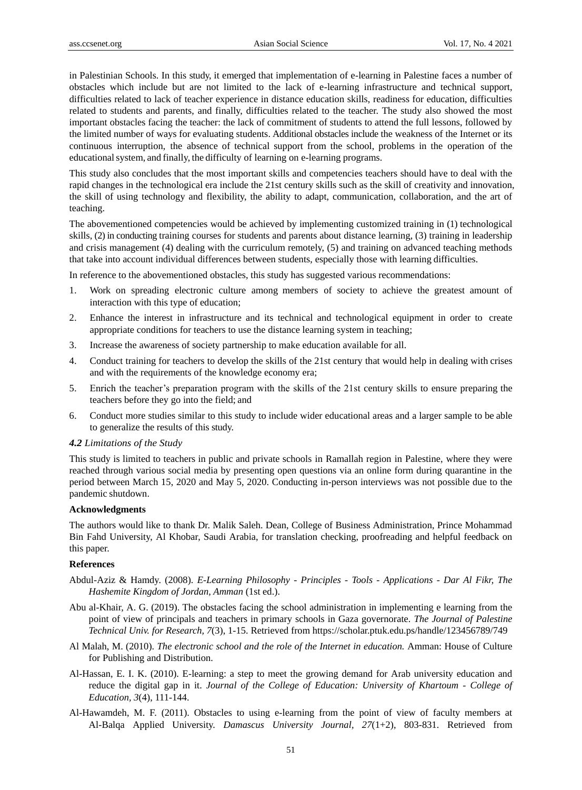in Palestinian Schools. In this study, it emerged that implementation of e-learning in Palestine faces a number of obstacles which include but are not limited to the lack of e-learning infrastructure and technical support, difficulties related to lack of teacher experience in distance education skills, readiness for education, difficulties related to students and parents, and finally, difficulties related to the teacher. The study also showed the most important obstacles facing the teacher: the lack of commitment of students to attend the full lessons, followed by the limited number of ways for evaluating students. Additional obstacles include the weakness of the Internet or its continuous interruption, the absence of technical support from the school, problems in the operation of the educationalsystem, and finally, the difficulty of learning on e-learning programs.

This study also concludes that the most important skills and competencies teachers should have to deal with the rapid changes in the technological era include the 21st century skills such as the skill of creativity and innovation, the skill of using technology and flexibility, the ability to adapt, communication, collaboration, and the art of teaching.

The abovementioned competencies would be achieved by implementing customized training in (1) technological skills, (2) in conducting training courses for students and parents about distance learning, (3) training in leadership and crisis management (4) dealing with the curriculum remotely, (5) and training on advanced teaching methods that take into account individual differences between students, especially those with learning difficulties.

In reference to the abovementioned obstacles, this study has suggested various recommendations:

- 1. Work on spreading electronic culture among members of society to achieve the greatest amount of interaction with this type of education;
- 2. Enhance the interest in infrastructure and its technical and technological equipment in order to create appropriate conditions for teachers to use the distance learning system in teaching;
- 3. Increase the awareness of society partnership to make education available for all.
- 4. Conduct training for teachers to develop the skills of the 21st century that would help in dealing with crises and with the requirements of the knowledge economy era;
- 5. Enrich the teacher"s preparation program with the skills of the 21st century skills to ensure preparing the teachers before they go into the field; and
- 6. Conduct more studies similar to this study to include wider educational areas and a larger sample to be able to generalize the results of this study.

#### *4.2 Limitations of the Study*

This study is limited to teachers in public and private schools in Ramallah region in Palestine, where they were reached through various social media by presenting open questions via an online form during quarantine in the period between March 15, 2020 and May 5, 2020. Conducting in-person interviews was not possible due to the pandemic shutdown.

# **Acknowledgments**

The authors would like to thank Dr. Malik Saleh. Dean, College of Business Administration, Prince Mohammad Bin Fahd University, Al Khobar, Saudi Arabia, for translation checking, proofreading and helpful feedback on this paper.

# **References**

- Abdul-Aziz & Hamdy. (2008). *E-Learning Philosophy - Principles - Tools - Applications - Dar Al Fikr, The Hashemite Kingdom of Jordan, Amman* (1st ed.).
- Abu al-Khair, A. G. (2019). The obstacles facing the school administration in implementing e learning from the point of view of principals and teachers in primary schools in Gaza governorate. *The Journal of Palestine Technical Univ. for Research, 7*(3), 1-15. Retrieved from https://scholar.ptuk.edu.ps/handle/123456789/749
- Al Malah, M. (2010). *The electronic school and the role of the Internet in education.* Amman: House of Culture for Publishing and Distribution.
- Al-Hassan, E. I. K. (2010). E-learning: a step to meet the growing demand for Arab university education and reduce the digital gap in it. *Journal of the College of Education: University of Khartoum - College of Education, 3*(4), 111-144.
- Al-Hawamdeh, M. F. (2011). Obstacles to using e-learning from the point of view of faculty members at Al-Balqa Applied University. *Damascus University Journal, 27*(1+2), 803-831. Retrieved from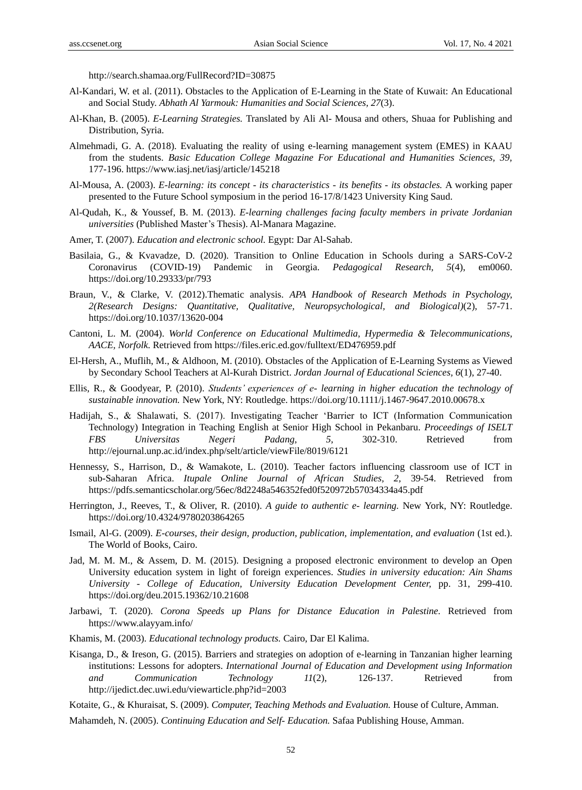http://search.shamaa.org/FullRecord?ID=30875

- Al-Kandari, W. et al. (2011). Obstacles to the Application of E-Learning in the State of Kuwait: An Educational and Social Study. *Abhath Al Yarmouk: Humanities and Social Sciences, 27*(3).
- Al-Khan, B. (2005). *E-Learning Strategies.* Translated by Ali Al- Mousa and others, Shuaa for Publishing and Distribution, Syria.
- Almehmadi, G. A. (2018). Evaluating the reality of using e-learning management system (EMES) in KAAU from the students. *Basic Education College Magazine For Educational and Humanities Sciences, 39,*  177-196. https://www.iasj.net/iasj/article/145218
- Al-Mousa, A. (2003). *E-learning: its concept - its characteristics - its benefits - its obstacles.* A working paper presented to the Future School symposium in the period 16-17/8/1423 University King Saud.
- Al-Qudah, K., & Youssef, B. M. (2013). *E-learning challenges facing faculty members in private Jordanian universities* (Published Master"s Thesis). Al-Manara Magazine.
- Amer, T. (2007). *Education and electronic school.* Egypt: Dar Al-Sahab.
- Basilaia, G., & Kvavadze, D. (2020). Transition to Online Education in Schools during a SARS-CoV-2 Coronavirus (COVID-19) Pandemic in Georgia. *Pedagogical Research, 5*(4), em0060. <https://doi.org/10.29333/pr/793>
- Braun, V., & Clarke, V. (2012).Thematic analysis. *APA Handbook of Research Methods in Psychology, 2(Research Designs: Quantitative, Qualitative, Neuropsychological, and Biological)*(2), 57-71. https://doi.org/10.1037/13620-004
- Cantoni, L. M. (2004). *World Conference on Educational Multimedia, Hypermedia & Telecommunications, AACE, Norfolk*. Retrieved from https://files.eric.ed.gov/fulltext/ED476959.pdf
- El-Hersh, A., Muflih, M., & Aldhoon, M. (2010). Obstacles of the Application of E-Learning Systems as Viewed by Secondary School Teachers at Al-Kurah District. *Jordan Journal of Educational Sciences, 6*(1), 27-40.
- Ellis, R., & Goodyear, P. (2010). *Students' experiences of e- learning in higher education the technology of sustainable innovation.* New York, NY: Routledge. https://doi.org/10.1111/j.1467-9647.2010.00678.x
- Hadijah, S., & Shalawati, S. (2017). Investigating Teacher "Barrier to ICT (Information Communication Technology) Integration in Teaching English at Senior High School in Pekanbaru*. Proceedings of ISELT FBS Universitas Negeri Padang, 5,* 302-310. Retrieved from http://ejournal.unp.ac.id/index.php/selt/article/viewFile/8019/6121
- Hennessy, S., Harrison, D., & Wamakote, L. (2010). Teacher factors influencing classroom use of ICT in sub-Saharan Africa. *Itupale Online Journal of African Studies, 2,* 39-54. Retrieved from https://pdfs.semanticscholar.org/56ec/8d2248a546352fed0f520972b57034334a45.pdf
- Herrington, J., Reeves, T., & Oliver, R. (2010). *A guide to authentic e- learning.* New York, NY: Routledge. https://doi.org/10.4324/9780203864265
- Ismail, Al-G. (2009). *E-courses, their design, production, publication, implementation, and evaluation* (1st ed.). The World of Books, Cairo.
- Jad, M. M. M., & Assem, D. M. (2015). Designing a proposed electronic environment to develop an Open University education system in light of foreign experiences. *Studies in university education: Ain Shams University - College of Education, University Education Development Center,* pp. 31, 299-410. https://doi.org/deu.2015.19362/10.21608
- Jarbawi, T. (2020). *Corona Speeds up Plans for Distance Education in Palestine.* Retrieved from https://www.alayyam.info/
- Khamis, M. (2003). *Educational technology products.* Cairo, Dar El Kalima.
- Kisanga, D., & Ireson, G. (2015). Barriers and strategies on adoption of e-learning in Tanzanian higher learning institutions: Lessons for adopters. *International Journal of Education and Development using Information and Communication Technology 11*(2), 126-137. Retrieved from http://ijedict.dec.uwi.edu/viewarticle.php?id=2003

Kotaite, G., & Khuraisat, S. (2009). *Computer, Teaching Methods and Evaluation.* House of Culture, Amman.

Mahamdeh, N. (2005). *Continuing Education and Self- Education.* Safaa Publishing House, Amman.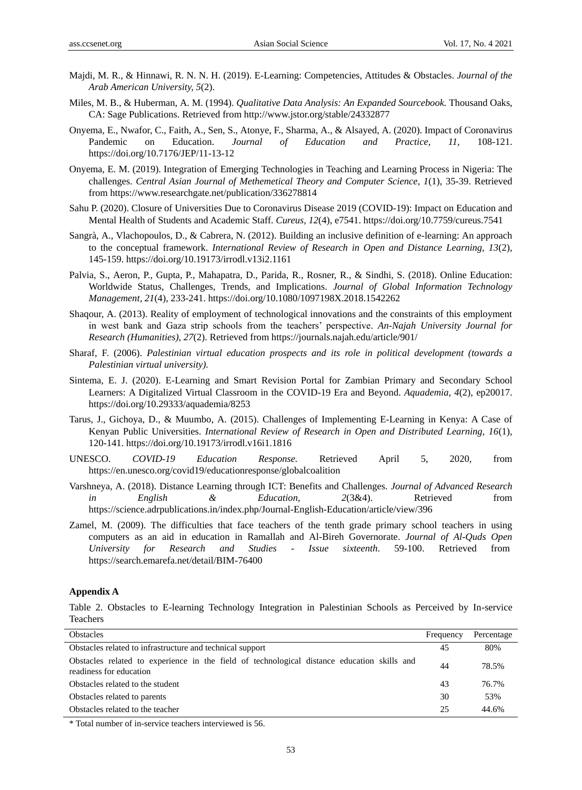- Majdi, M. R., & Hinnawi, R. N. N. H. (2019). E-Learning: Competencies, Attitudes & Obstacles. *Journal of the Arab American University, 5*(2).
- Miles, M. B., & Huberman, A. M. (1994). *Qualitative Data Analysis: An Expanded Sourcebook.* Thousand Oaks, CA: Sage Publications. Retrieved from http://www.jstor.org/stable/24332877
- Onyema, E., Nwafor, C., Faith, A., Sen, S., Atonye, F., Sharma, A., & Alsayed, A. (2020). Impact of Coronavirus Pandemic on Education. *Journal of Education and Practice, 11,* 108-121. https://doi.org/10.7176/JEP/11-13-12
- Onyema, E. M. (2019). Integration of Emerging Technologies in Teaching and Learning Process in Nigeria: The challenges. *Central Asian Journal of Methemetical Theory and Computer Science, 1*(1), 35-39. Retrieved from https://www.researchgate.net/publication/336278814
- Sahu P. (2020). Closure of Universities Due to Coronavirus Disease 2019 (COVID-19): Impact on Education and Mental Health of Students and Academic Staff. *Cureus, 12*(4), e7541. https://doi.org/10.7759/cureus.7541
- Sangrà, A., Vlachopoulos, D., & Cabrera, N. (2012). Building an inclusive definition of e-learning: An approach to the conceptual framework. *International Review of Research in Open and Distance Learning, 13*(2), 145-159. https://doi.org/10.19173/irrodl.v13i2.1161
- Palvia, S., Aeron, P., Gupta, P., Mahapatra, D., Parida, R., Rosner, R., & Sindhi, S. (2018). Online Education: Worldwide Status, Challenges, Trends, and Implications. *Journal of Global Information Technology Management, 21*(4), 233-241. https://doi.org/10.1080/1097198X.2018.1542262
- Shaqour, A. (2013). Reality of employment of technological innovations and the constraints of this employment in west bank and Gaza strip schools from the teachers" perspective. *An-Najah University Journal for Research (Humanities), 27*(2). Retrieved from https://journals.najah.edu/article/901/
- Sharaf, F. (2006). *Palestinian virtual education prospects and its role in political development (towards a Palestinian virtual university).*
- Sintema, E. J. (2020). E-Learning and Smart Revision Portal for Zambian Primary and Secondary School Learners: A Digitalized Virtual Classroom in the COVID-19 Era and Beyond. *Aquademia, 4*(2), ep20017. <https://doi.org/10.29333/aquademia/8253>
- Tarus, J., Gichoya, D., & Muumbo, A. (2015). Challenges of Implementing E-Learning in Kenya: A Case of Kenyan Public Universities. *International Review of Research in Open and Distributed Learning, 16*(1), 120-141.<https://doi.org/10.19173/irrodl.v16i1.1816>
- UNESCO. *COVID-19 Education Response.* Retrieved April 5, 2020, from https://en.unesco.org/covid19/educationresponse/globalcoalition
- Varshneya, A. (2018). Distance Learning through ICT: Benefits and Challenges. *Journal of Advanced Research in English & Education, 2*(3&4). Retrieved from https://science.adrpublications.in/index.php/Journal-English-Education/article/view/396
- Zamel, M. (2009). The difficulties that face teachers of the tenth grade primary school teachers in using computers as an aid in education in Ramallah and Al-Bireh Governorate. *Journal of Al-Quds Open University for Research and Studies - Issue sixteenth*. 59-100. Retrieved from https://search.emarefa.net/detail/BIM-76400

#### **Appendix A**

Table 2. Obstacles to E-learning Technology Integration in Palestinian Schools as Perceived by In-service Teachers

| <b>Obstacles</b>                                                                                                       | Frequency | Percentage |
|------------------------------------------------------------------------------------------------------------------------|-----------|------------|
| Obstacles related to infrastructure and technical support                                                              |           | 80%        |
| Obstacles related to experience in the field of technological distance education skills and<br>readiness for education | 44        | 78.5%      |
| Obstacles related to the student                                                                                       | 43        | 76.7%      |
| Obstacles related to parents                                                                                           | 30        | 53%        |
| Obstacles related to the teacher                                                                                       | 25        | 44.6%      |

\* Total number of in-service teachers interviewed is 56.